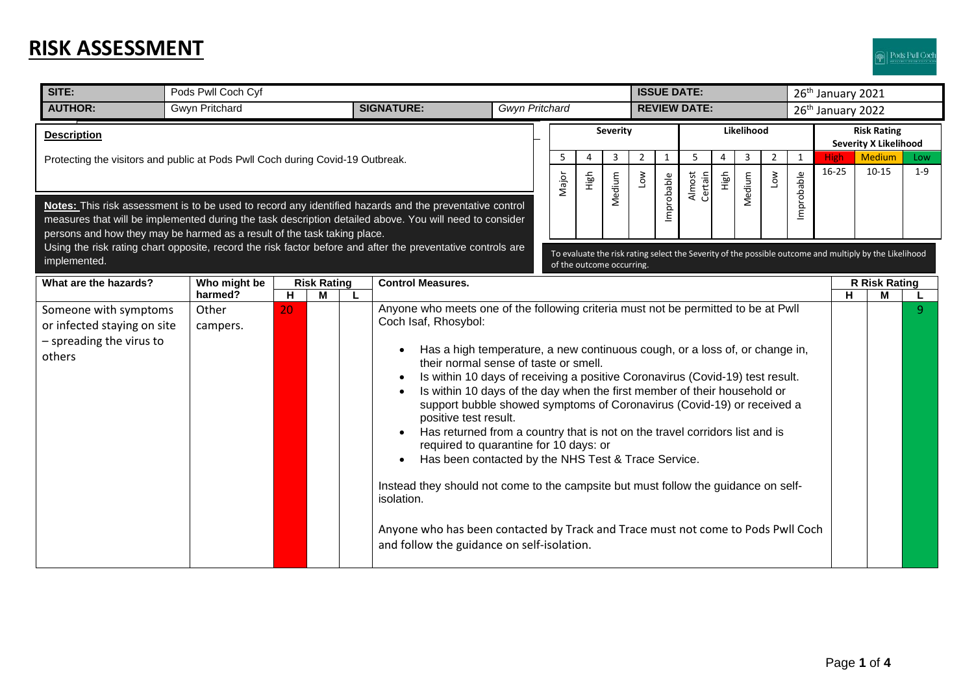## **RISK ASSESSMENT**

| SITE:                                                                                                                                                                                                                                                                                          | Pods Pwll Coch Cyf                                                                       |    |  |  |                                                                                                                                                                                                                                                                                                                                                                                                                                                                                                                                                                                                                                                                                                                                                                                                                                                                                                                          |                       |                               | <b>ISSUE DATE:</b>                                                                                                                  |             |                       |            |                               |                        |                                                    |                                    |                 | 26 <sup>th</sup> January 2021 |                        |                |  |
|------------------------------------------------------------------------------------------------------------------------------------------------------------------------------------------------------------------------------------------------------------------------------------------------|------------------------------------------------------------------------------------------|----|--|--|--------------------------------------------------------------------------------------------------------------------------------------------------------------------------------------------------------------------------------------------------------------------------------------------------------------------------------------------------------------------------------------------------------------------------------------------------------------------------------------------------------------------------------------------------------------------------------------------------------------------------------------------------------------------------------------------------------------------------------------------------------------------------------------------------------------------------------------------------------------------------------------------------------------------------|-----------------------|-------------------------------|-------------------------------------------------------------------------------------------------------------------------------------|-------------|-----------------------|------------|-------------------------------|------------------------|----------------------------------------------------|------------------------------------|-----------------|-------------------------------|------------------------|----------------|--|
| <b>AUTHOR:</b>                                                                                                                                                                                                                                                                                 | <b>Gwyn Pritchard</b><br><b>SIGNATURE:</b>                                               |    |  |  |                                                                                                                                                                                                                                                                                                                                                                                                                                                                                                                                                                                                                                                                                                                                                                                                                                                                                                                          | <b>Gwyn Pritchard</b> | <b>REVIEW DATE:</b>           |                                                                                                                                     |             |                       |            | 26 <sup>th</sup> January 2022 |                        |                                                    |                                    |                 |                               |                        |                |  |
| <b>Description</b>                                                                                                                                                                                                                                                                             |                                                                                          |    |  |  |                                                                                                                                                                                                                                                                                                                                                                                                                                                                                                                                                                                                                                                                                                                                                                                                                                                                                                                          |                       | Likelihood<br><b>Severity</b> |                                                                                                                                     |             |                       |            |                               |                        | <b>Risk Rating</b><br><b>Severity X Likelihood</b> |                                    |                 |                               |                        |                |  |
| Protecting the visitors and public at Pods Pwll Coch during Covid-19 Outbreak.                                                                                                                                                                                                                 |                                                                                          |    |  |  |                                                                                                                                                                                                                                                                                                                                                                                                                                                                                                                                                                                                                                                                                                                                                                                                                                                                                                                          |                       | 5<br>Major                    | Δ<br>High                                                                                                                           | 3<br>Medium | $\overline{2}$<br>ΜOΤ | 1          | 5<br>Almost<br>Certain        | $\overline{4}$<br>High | 3<br>Medium                                        | $\overline{2}$<br>$\sum_{i=1}^{n}$ | 1<br>Improbable | <b>High</b><br>$16 - 25$      | <b>Medium</b><br>10-15 | Low<br>$1 - 9$ |  |
| Notes: This risk assessment is to be used to record any identified hazards and the preventative control<br>measures that will be implemented during the task description detailed above. You will need to consider<br>persons and how they may be harmed as a result of the task taking place. |                                                                                          |    |  |  |                                                                                                                                                                                                                                                                                                                                                                                                                                                                                                                                                                                                                                                                                                                                                                                                                                                                                                                          |                       |                               |                                                                                                                                     |             |                       | Improbable |                               |                        |                                                    |                                    |                 |                               |                        |                |  |
| Using the risk rating chart opposite, record the risk factor before and after the preventative controls are<br>implemented.                                                                                                                                                                    |                                                                                          |    |  |  |                                                                                                                                                                                                                                                                                                                                                                                                                                                                                                                                                                                                                                                                                                                                                                                                                                                                                                                          |                       |                               | To evaluate the risk rating select the Severity of the possible outcome and multiply by the Likelihood<br>of the outcome occurring. |             |                       |            |                               |                        |                                                    |                                    |                 |                               |                        |                |  |
| What are the hazards?                                                                                                                                                                                                                                                                          | <b>Control Measures.</b><br>Who might be<br><b>Risk Rating</b><br>harmed?<br>н<br>M<br>L |    |  |  |                                                                                                                                                                                                                                                                                                                                                                                                                                                                                                                                                                                                                                                                                                                                                                                                                                                                                                                          |                       |                               |                                                                                                                                     |             |                       | н          | <b>R Risk Rating</b><br>м     |                        |                                                    |                                    |                 |                               |                        |                |  |
| Someone with symptoms<br>or infected staying on site<br>- spreading the virus to<br>others                                                                                                                                                                                                     | Other<br>campers.                                                                        | 20 |  |  | Anyone who meets one of the following criteria must not be permitted to be at Pwll<br>Coch Isaf, Rhosybol:<br>Has a high temperature, a new continuous cough, or a loss of, or change in,<br>their normal sense of taste or smell.<br>Is within 10 days of receiving a positive Coronavirus (Covid-19) test result.<br>Is within 10 days of the day when the first member of their household or<br>support bubble showed symptoms of Coronavirus (Covid-19) or received a<br>positive test result.<br>Has returned from a country that is not on the travel corridors list and is<br>required to quarantine for 10 days: or<br>Has been contacted by the NHS Test & Trace Service.<br>Instead they should not come to the campsite but must follow the guidance on self-<br>isolation.<br>Anyone who has been contacted by Track and Trace must not come to Pods Pwll Coch<br>and follow the guidance on self-isolation. |                       |                               |                                                                                                                                     |             |                       |            |                               |                        |                                                    |                                    |                 |                               |                        | $\mathbf{Q}$   |  |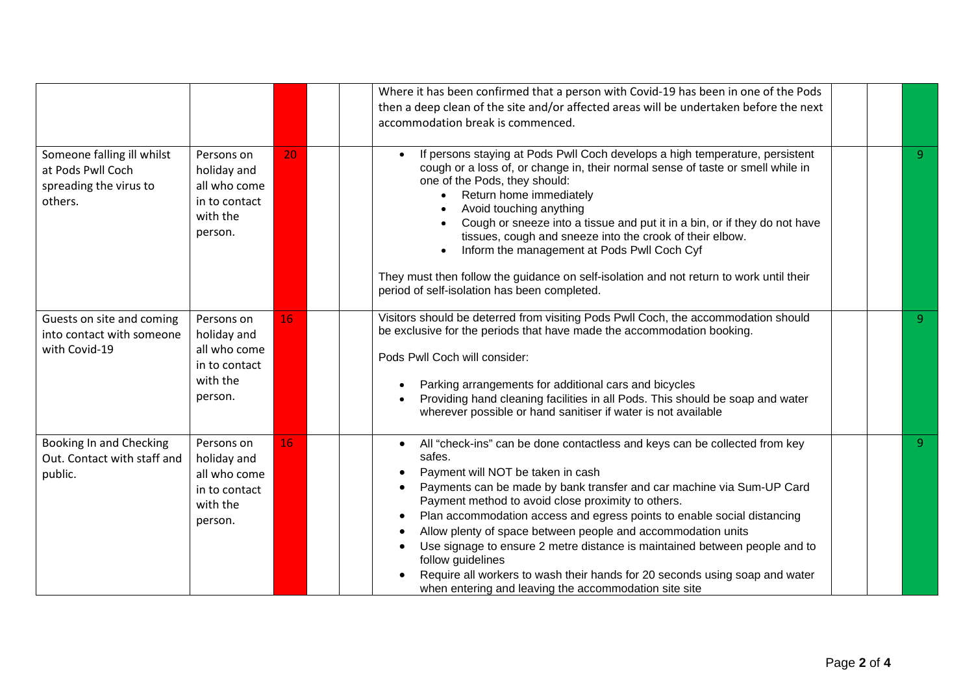|                                                                                      |                                                                                   |    | Where it has been confirmed that a person with Covid-19 has been in one of the Pods                                                                                                                                                                                                                                                                                                                                                                                                                                                                                                                                                                                                                |  |   |
|--------------------------------------------------------------------------------------|-----------------------------------------------------------------------------------|----|----------------------------------------------------------------------------------------------------------------------------------------------------------------------------------------------------------------------------------------------------------------------------------------------------------------------------------------------------------------------------------------------------------------------------------------------------------------------------------------------------------------------------------------------------------------------------------------------------------------------------------------------------------------------------------------------------|--|---|
|                                                                                      |                                                                                   |    |                                                                                                                                                                                                                                                                                                                                                                                                                                                                                                                                                                                                                                                                                                    |  |   |
|                                                                                      |                                                                                   |    | then a deep clean of the site and/or affected areas will be undertaken before the next                                                                                                                                                                                                                                                                                                                                                                                                                                                                                                                                                                                                             |  |   |
|                                                                                      |                                                                                   |    | accommodation break is commenced.                                                                                                                                                                                                                                                                                                                                                                                                                                                                                                                                                                                                                                                                  |  |   |
| Someone falling ill whilst<br>at Pods Pwll Coch<br>spreading the virus to<br>others. | Persons on<br>holiday and<br>all who come<br>in to contact<br>with the<br>person. | 20 | If persons staying at Pods Pwll Coch develops a high temperature, persistent<br>cough or a loss of, or change in, their normal sense of taste or smell while in<br>one of the Pods, they should:<br>Return home immediately<br>Avoid touching anything<br>Cough or sneeze into a tissue and put it in a bin, or if they do not have<br>tissues, cough and sneeze into the crook of their elbow.<br>Inform the management at Pods Pwll Coch Cyf<br>They must then follow the guidance on self-isolation and not return to work until their<br>period of self-isolation has been completed.                                                                                                          |  | 9 |
| Guests on site and coming<br>into contact with someone<br>with Covid-19              | Persons on<br>holiday and<br>all who come<br>in to contact<br>with the<br>person. | 16 | Visitors should be deterred from visiting Pods Pwll Coch, the accommodation should<br>be exclusive for the periods that have made the accommodation booking.<br>Pods Pwll Coch will consider:<br>Parking arrangements for additional cars and bicycles<br>Providing hand cleaning facilities in all Pods. This should be soap and water<br>wherever possible or hand sanitiser if water is not available                                                                                                                                                                                                                                                                                           |  | 9 |
| Booking In and Checking<br>Out. Contact with staff and<br>public.                    | Persons on<br>holiday and<br>all who come<br>in to contact<br>with the<br>person. | 16 | All "check-ins" can be done contactless and keys can be collected from key<br>$\bullet$<br>safes.<br>Payment will NOT be taken in cash<br>Payments can be made by bank transfer and car machine via Sum-UP Card<br>$\bullet$<br>Payment method to avoid close proximity to others.<br>Plan accommodation access and egress points to enable social distancing<br>$\bullet$<br>Allow plenty of space between people and accommodation units<br>$\bullet$<br>Use signage to ensure 2 metre distance is maintained between people and to<br>follow guidelines<br>Require all workers to wash their hands for 20 seconds using soap and water<br>when entering and leaving the accommodation site site |  | 9 |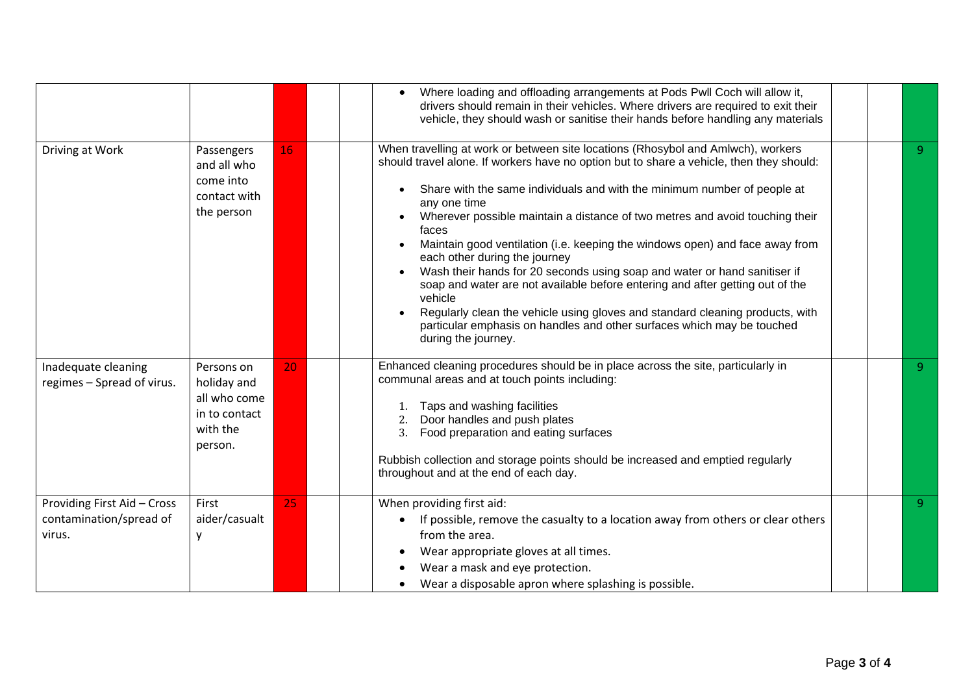|                                                                  |                                                                                   |    | Where loading and offloading arrangements at Pods Pwll Coch will allow it,<br>$\bullet$<br>drivers should remain in their vehicles. Where drivers are required to exit their<br>vehicle, they should wash or sanitise their hands before handling any materials                                                                                                                                                                                                                                                                                                                                                                                                                                                                                                                                                                               |  |    |
|------------------------------------------------------------------|-----------------------------------------------------------------------------------|----|-----------------------------------------------------------------------------------------------------------------------------------------------------------------------------------------------------------------------------------------------------------------------------------------------------------------------------------------------------------------------------------------------------------------------------------------------------------------------------------------------------------------------------------------------------------------------------------------------------------------------------------------------------------------------------------------------------------------------------------------------------------------------------------------------------------------------------------------------|--|----|
| Driving at Work                                                  | Passengers<br>and all who<br>come into<br>contact with<br>the person              | 16 | When travelling at work or between site locations (Rhosybol and Amlwch), workers<br>should travel alone. If workers have no option but to share a vehicle, then they should:<br>Share with the same individuals and with the minimum number of people at<br>any one time<br>Wherever possible maintain a distance of two metres and avoid touching their<br>faces<br>Maintain good ventilation (i.e. keeping the windows open) and face away from<br>each other during the journey<br>Wash their hands for 20 seconds using soap and water or hand sanitiser if<br>soap and water are not available before entering and after getting out of the<br>vehicle<br>Regularly clean the vehicle using gloves and standard cleaning products, with<br>particular emphasis on handles and other surfaces which may be touched<br>during the journey. |  | -9 |
| Inadequate cleaning<br>regimes - Spread of virus.                | Persons on<br>holiday and<br>all who come<br>in to contact<br>with the<br>person. | 20 | Enhanced cleaning procedures should be in place across the site, particularly in<br>communal areas and at touch points including:<br>Taps and washing facilities<br>Door handles and push plates<br>2.<br>Food preparation and eating surfaces<br>3.<br>Rubbish collection and storage points should be increased and emptied regularly<br>throughout and at the end of each day.                                                                                                                                                                                                                                                                                                                                                                                                                                                             |  | 9  |
| Providing First Aid - Cross<br>contamination/spread of<br>virus. | First<br>aider/casualt<br>v                                                       | 25 | When providing first aid:<br>If possible, remove the casualty to a location away from others or clear others<br>$\bullet$<br>from the area.<br>Wear appropriate gloves at all times.<br>Wear a mask and eye protection.<br>Wear a disposable apron where splashing is possible.<br>$\bullet$                                                                                                                                                                                                                                                                                                                                                                                                                                                                                                                                                  |  | 9  |